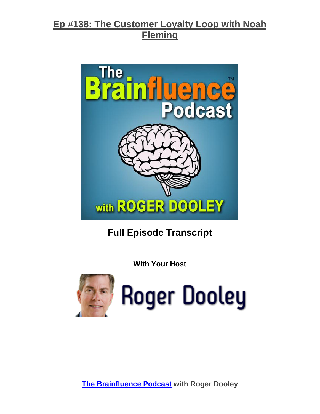

# **Full Episode Transcript**

**With Your Host**



**Roger Dooley**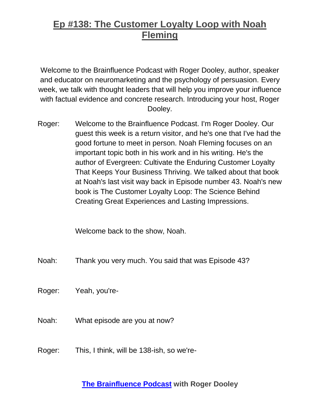Welcome to the Brainfluence Podcast with Roger Dooley, author, speaker and educator on neuromarketing and the psychology of persuasion. Every week, we talk with thought leaders that will help you improve your influence with factual evidence and concrete research. Introducing your host, Roger Dooley.

Roger: Welcome to the Brainfluence Podcast. I'm Roger Dooley. Our guest this week is a return visitor, and he's one that I've had the good fortune to meet in person. Noah Fleming focuses on an important topic both in his work and in his writing. He's the author of Evergreen: Cultivate the Enduring Customer Loyalty That Keeps Your Business Thriving. We talked about that book at Noah's last visit way back in Episode number 43. Noah's new book is The Customer Loyalty Loop: The Science Behind Creating Great Experiences and Lasting Impressions.

Welcome back to the show, Noah.

Noah: Thank you very much. You said that was Episode 43?

Roger: Yeah, you're-

- Noah: What episode are you at now?
- Roger: This, I think, will be 138-ish, so we're-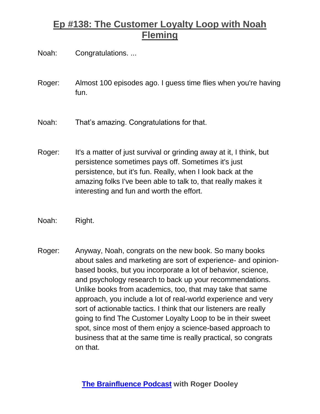Noah: Congratulations. ...

- Roger: Almost 100 episodes ago. I guess time flies when you're having fun.
- Noah: That's amazing. Congratulations for that.
- Roger: It's a matter of just survival or grinding away at it, I think, but persistence sometimes pays off. Sometimes it's just persistence, but it's fun. Really, when I look back at the amazing folks I've been able to talk to, that really makes it interesting and fun and worth the effort.
- Noah: Right.
- Roger: Anyway, Noah, congrats on the new book. So many books about sales and marketing are sort of experience- and opinionbased books, but you incorporate a lot of behavior, science, and psychology research to back up your recommendations. Unlike books from academics, too, that may take that same approach, you include a lot of real-world experience and very sort of actionable tactics. I think that our listeners are really going to find The Customer Loyalty Loop to be in their sweet spot, since most of them enjoy a science-based approach to business that at the same time is really practical, so congrats on that.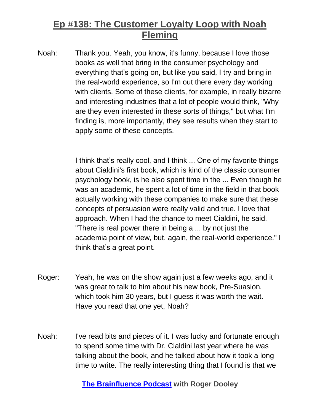Noah: Thank you. Yeah, you know, it's funny, because I love those books as well that bring in the consumer psychology and everything that's going on, but like you said, I try and bring in the real-world experience, so I'm out there every day working with clients. Some of these clients, for example, in really bizarre and interesting industries that a lot of people would think, "Why are they even interested in these sorts of things," but what I'm finding is, more importantly, they see results when they start to apply some of these concepts.

> I think that's really cool, and I think ... One of my favorite things about Cialdini's first book, which is kind of the classic consumer psychology book, is he also spent time in the ... Even though he was an academic, he spent a lot of time in the field in that book actually working with these companies to make sure that these concepts of persuasion were really valid and true. I love that approach. When I had the chance to meet Cialdini, he said, "There is real power there in being a ... by not just the academia point of view, but, again, the real-world experience." I think that's a great point.

- Roger: Yeah, he was on the show again just a few weeks ago, and it was great to talk to him about his new book, Pre-Suasion, which took him 30 years, but I guess it was worth the wait. Have you read that one yet, Noah?
- Noah: I've read bits and pieces of it. I was lucky and fortunate enough to spend some time with Dr. Cialdini last year where he was talking about the book, and he talked about how it took a long time to write. The really interesting thing that I found is that we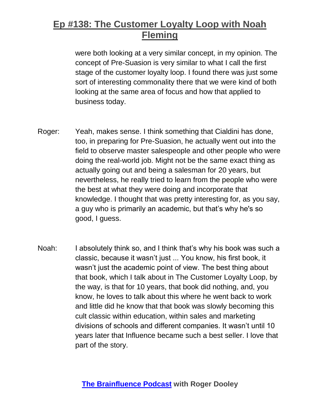were both looking at a very similar concept, in my opinion. The concept of Pre-Suasion is very similar to what I call the first stage of the customer loyalty loop. I found there was just some sort of interesting commonality there that we were kind of both looking at the same area of focus and how that applied to business today.

- Roger: Yeah, makes sense. I think something that Cialdini has done, too, in preparing for Pre-Suasion, he actually went out into the field to observe master salespeople and other people who were doing the real-world job. Might not be the same exact thing as actually going out and being a salesman for 20 years, but nevertheless, he really tried to learn from the people who were the best at what they were doing and incorporate that knowledge. I thought that was pretty interesting for, as you say, a guy who is primarily an academic, but that's why he's so good, I guess.
- Noah: I absolutely think so, and I think that's why his book was such a classic, because it wasn't just ... You know, his first book, it wasn't just the academic point of view. The best thing about that book, which I talk about in The Customer Loyalty Loop, by the way, is that for 10 years, that book did nothing, and, you know, he loves to talk about this where he went back to work and little did he know that that book was slowly becoming this cult classic within education, within sales and marketing divisions of schools and different companies. It wasn't until 10 years later that Influence became such a best seller. I love that part of the story.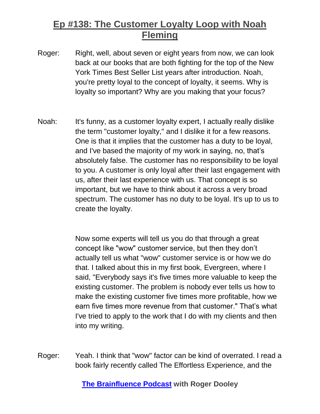- Roger: Right, well, about seven or eight years from now, we can look back at our books that are both fighting for the top of the New York Times Best Seller List years after introduction. Noah, you're pretty loyal to the concept of loyalty, it seems. Why is loyalty so important? Why are you making that your focus?
- Noah: It's funny, as a customer loyalty expert, I actually really dislike the term "customer loyalty," and I dislike it for a few reasons. One is that it implies that the customer has a duty to be loyal, and I've based the majority of my work in saying, no, that's absolutely false. The customer has no responsibility to be loyal to you. A customer is only loyal after their last engagement with us, after their last experience with us. That concept is so important, but we have to think about it across a very broad spectrum. The customer has no duty to be loyal. It's up to us to create the loyalty.

Now some experts will tell us you do that through a great concept like "wow" customer service, but then they don't actually tell us what "wow" customer service is or how we do that. I talked about this in my first book, Evergreen, where I said, "Everybody says it's five times more valuable to keep the existing customer. The problem is nobody ever tells us how to make the existing customer five times more profitable, how we earn five times more revenue from that customer." That's what I've tried to apply to the work that I do with my clients and then into my writing.

Roger: Yeah. I think that "wow" factor can be kind of overrated. I read a book fairly recently called The Effortless Experience, and the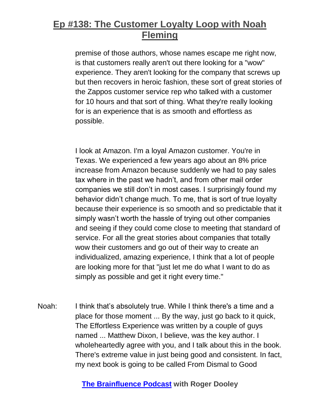premise of those authors, whose names escape me right now, is that customers really aren't out there looking for a "wow" experience. They aren't looking for the company that screws up but then recovers in heroic fashion, these sort of great stories of the Zappos customer service rep who talked with a customer for 10 hours and that sort of thing. What they're really looking for is an experience that is as smooth and effortless as possible.

I look at Amazon. I'm a loyal Amazon customer. You're in Texas. We experienced a few years ago about an 8% price increase from Amazon because suddenly we had to pay sales tax where in the past we hadn't, and from other mail order companies we still don't in most cases. I surprisingly found my behavior didn't change much. To me, that is sort of true loyalty because their experience is so smooth and so predictable that it simply wasn't worth the hassle of trying out other companies and seeing if they could come close to meeting that standard of service. For all the great stories about companies that totally wow their customers and go out of their way to create an individualized, amazing experience, I think that a lot of people are looking more for that "just let me do what I want to do as simply as possible and get it right every time."

Noah: I think that's absolutely true. While I think there's a time and a place for those moment ... By the way, just go back to it quick, The Effortless Experience was written by a couple of guys named ... Matthew Dixon, I believe, was the key author. I wholeheartedly agree with you, and I talk about this in the book. There's extreme value in just being good and consistent. In fact, my next book is going to be called From Dismal to Good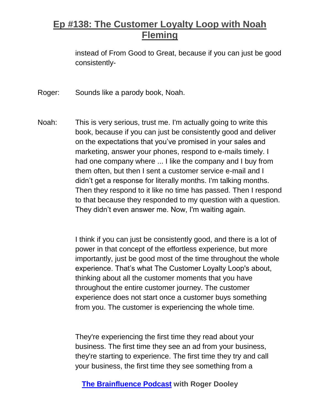instead of From Good to Great, because if you can just be good consistently-

Roger: Sounds like a parody book, Noah.

Noah: This is very serious, trust me. I'm actually going to write this book, because if you can just be consistently good and deliver on the expectations that you've promised in your sales and marketing, answer your phones, respond to e-mails timely. I had one company where ... I like the company and I buy from them often, but then I sent a customer service e-mail and I didn't get a response for literally months. I'm talking months. Then they respond to it like no time has passed. Then I respond to that because they responded to my question with a question. They didn't even answer me. Now, I'm waiting again.

> I think if you can just be consistently good, and there is a lot of power in that concept of the effortless experience, but more importantly, just be good most of the time throughout the whole experience. That's what The Customer Loyalty Loop's about, thinking about all the customer moments that you have throughout the entire customer journey. The customer experience does not start once a customer buys something from you. The customer is experiencing the whole time.

They're experiencing the first time they read about your business. The first time they see an ad from your business, they're starting to experience. The first time they try and call your business, the first time they see something from a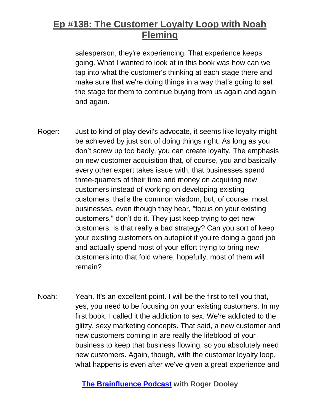salesperson, they're experiencing. That experience keeps going. What I wanted to look at in this book was how can we tap into what the customer's thinking at each stage there and make sure that we're doing things in a way that's going to set the stage for them to continue buying from us again and again and again.

- Roger: Just to kind of play devil's advocate, it seems like loyalty might be achieved by just sort of doing things right. As long as you don't screw up too badly, you can create loyalty. The emphasis on new customer acquisition that, of course, you and basically every other expert takes issue with, that businesses spend three-quarters of their time and money on acquiring new customers instead of working on developing existing customers, that's the common wisdom, but, of course, most businesses, even though they hear, "focus on your existing customers," don't do it. They just keep trying to get new customers. Is that really a bad strategy? Can you sort of keep your existing customers on autopilot if you're doing a good job and actually spend most of your effort trying to bring new customers into that fold where, hopefully, most of them will remain?
- Noah: Yeah. It's an excellent point. I will be the first to tell you that, yes, you need to be focusing on your existing customers. In my first book, I called it the addiction to sex. We're addicted to the glitzy, sexy marketing concepts. That said, a new customer and new customers coming in are really the lifeblood of your business to keep that business flowing, so you absolutely need new customers. Again, though, with the customer loyalty loop, what happens is even after we've given a great experience and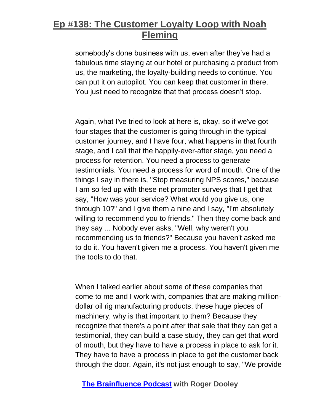somebody's done business with us, even after they've had a fabulous time staying at our hotel or purchasing a product from us, the marketing, the loyalty-building needs to continue. You can put it on autopilot. You can keep that customer in there. You just need to recognize that that process doesn't stop.

Again, what I've tried to look at here is, okay, so if we've got four stages that the customer is going through in the typical customer journey, and I have four, what happens in that fourth stage, and I call that the happily-ever-after stage, you need a process for retention. You need a process to generate testimonials. You need a process for word of mouth. One of the things I say in there is, "Stop measuring NPS scores," because I am so fed up with these net promoter surveys that I get that say, "How was your service? What would you give us, one through 10?" and I give them a nine and I say, "I'm absolutely willing to recommend you to friends." Then they come back and they say ... Nobody ever asks, "Well, why weren't you recommending us to friends?" Because you haven't asked me to do it. You haven't given me a process. You haven't given me the tools to do that.

When I talked earlier about some of these companies that come to me and I work with, companies that are making milliondollar oil rig manufacturing products, these huge pieces of machinery, why is that important to them? Because they recognize that there's a point after that sale that they can get a testimonial, they can build a case study, they can get that word of mouth, but they have to have a process in place to ask for it. They have to have a process in place to get the customer back through the door. Again, it's not just enough to say, "We provide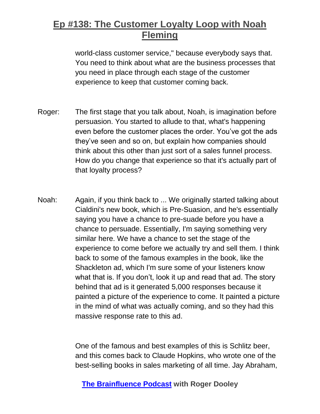world-class customer service," because everybody says that. You need to think about what are the business processes that you need in place through each stage of the customer experience to keep that customer coming back.

- Roger: The first stage that you talk about, Noah, is imagination before persuasion. You started to allude to that, what's happening even before the customer places the order. You've got the ads they've seen and so on, but explain how companies should think about this other than just sort of a sales funnel process. How do you change that experience so that it's actually part of that loyalty process?
- Noah: Again, if you think back to ... We originally started talking about Cialdini's new book, which is Pre-Suasion, and he's essentially saying you have a chance to pre-suade before you have a chance to persuade. Essentially, I'm saying something very similar here. We have a chance to set the stage of the experience to come before we actually try and sell them. I think back to some of the famous examples in the book, like the Shackleton ad, which I'm sure some of your listeners know what that is. If you don't, look it up and read that ad. The story behind that ad is it generated 5,000 responses because it painted a picture of the experience to come. It painted a picture in the mind of what was actually coming, and so they had this massive response rate to this ad.

One of the famous and best examples of this is Schlitz beer, and this comes back to Claude Hopkins, who wrote one of the best-selling books in sales marketing of all time. Jay Abraham,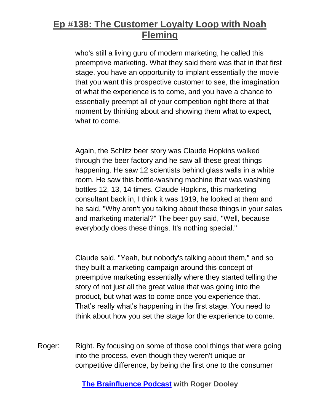who's still a living guru of modern marketing, he called this preemptive marketing. What they said there was that in that first stage, you have an opportunity to implant essentially the movie that you want this prospective customer to see, the imagination of what the experience is to come, and you have a chance to essentially preempt all of your competition right there at that moment by thinking about and showing them what to expect, what to come.

Again, the Schlitz beer story was Claude Hopkins walked through the beer factory and he saw all these great things happening. He saw 12 scientists behind glass walls in a white room. He saw this bottle-washing machine that was washing bottles 12, 13, 14 times. Claude Hopkins, this marketing consultant back in, I think it was 1919, he looked at them and he said, "Why aren't you talking about these things in your sales and marketing material?" The beer guy said, "Well, because everybody does these things. It's nothing special."

Claude said, "Yeah, but nobody's talking about them," and so they built a marketing campaign around this concept of preemptive marketing essentially where they started telling the story of not just all the great value that was going into the product, but what was to come once you experience that. That's really what's happening in the first stage. You need to think about how you set the stage for the experience to come.

Roger: Right. By focusing on some of those cool things that were going into the process, even though they weren't unique or competitive difference, by being the first one to the consumer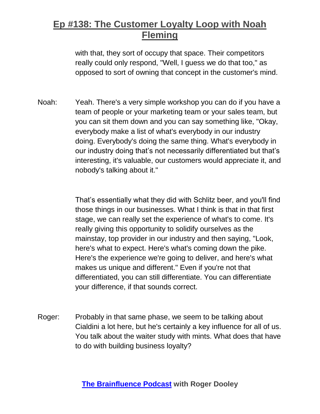with that, they sort of occupy that space. Their competitors really could only respond, "Well, I guess we do that too," as opposed to sort of owning that concept in the customer's mind.

Noah: Yeah. There's a very simple workshop you can do if you have a team of people or your marketing team or your sales team, but you can sit them down and you can say something like, "Okay, everybody make a list of what's everybody in our industry doing. Everybody's doing the same thing. What's everybody in our industry doing that's not necessarily differentiated but that's interesting, it's valuable, our customers would appreciate it, and nobody's talking about it."

> That's essentially what they did with Schlitz beer, and you'll find those things in our businesses. What I think is that in that first stage, we can really set the experience of what's to come. It's really giving this opportunity to solidify ourselves as the mainstay, top provider in our industry and then saying, "Look, here's what to expect. Here's what's coming down the pike. Here's the experience we're going to deliver, and here's what makes us unique and different." Even if you're not that differentiated, you can still differentiate. You can differentiate your difference, if that sounds correct.

Roger: Probably in that same phase, we seem to be talking about Cialdini a lot here, but he's certainly a key influence for all of us. You talk about the waiter study with mints. What does that have to do with building business loyalty?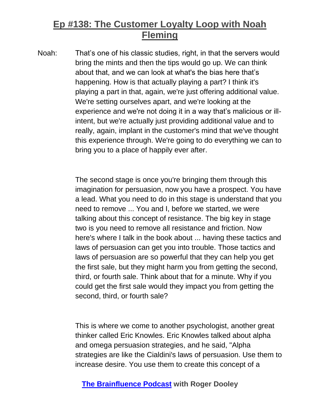Noah: That's one of his classic studies, right, in that the servers would bring the mints and then the tips would go up. We can think about that, and we can look at what's the bias here that's happening. How is that actually playing a part? I think it's playing a part in that, again, we're just offering additional value. We're setting ourselves apart, and we're looking at the experience and we're not doing it in a way that's malicious or illintent, but we're actually just providing additional value and to really, again, implant in the customer's mind that we've thought this experience through. We're going to do everything we can to bring you to a place of happily ever after.

> The second stage is once you're bringing them through this imagination for persuasion, now you have a prospect. You have a lead. What you need to do in this stage is understand that you need to remove ... You and I, before we started, we were talking about this concept of resistance. The big key in stage two is you need to remove all resistance and friction. Now here's where I talk in the book about ... having these tactics and laws of persuasion can get you into trouble. Those tactics and laws of persuasion are so powerful that they can help you get the first sale, but they might harm you from getting the second, third, or fourth sale. Think about that for a minute. Why if you could get the first sale would they impact you from getting the second, third, or fourth sale?

> This is where we come to another psychologist, another great thinker called Eric Knowles. Eric Knowles talked about alpha and omega persuasion strategies, and he said, "Alpha strategies are like the Cialdini's laws of persuasion. Use them to increase desire. You use them to create this concept of a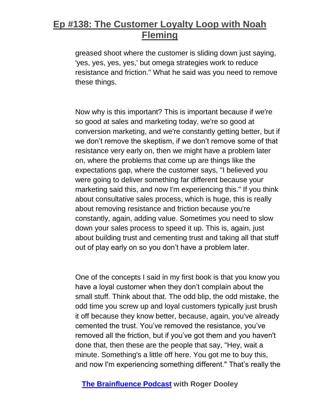greased shoot where the customer is sliding down just saying, 'yes, yes, yes, yes,' but omega strategies work to reduce resistance and friction." What he said was you need to remove these things.

Now why is this important? This is important because if we're so good at sales and marketing today, we're so good at conversion marketing, and we're constantly getting better, but if we don't remove the skeptism, if we don't remove some of that resistance very early on, then we might have a problem later on, where the problems that come up are things like the expectations gap, where the customer says, "I believed you were going to deliver something far different because your marketing said this, and now I'm experiencing this." If you think about consultative sales process, which is huge, this is really about removing resistance and friction because you're constantly, again, adding value. Sometimes you need to slow down your sales process to speed it up. This is, again, just about building trust and cementing trust and taking all that stuff out of play early on so you don't have a problem later.

One of the concepts I said in my first book is that you know you have a loyal customer when they don't complain about the small stuff. Think about that. The odd blip, the odd mistake, the odd time you screw up and loyal customers typically just brush it off because they know better, because, again, you've already cemented the trust. You've removed the resistance, you've removed all the friction, but if you've got them and you haven't done that, then these are the people that say, "Hey, wait a minute. Something's a little off here. You got me to buy this, and now I'm experiencing something different." That's really the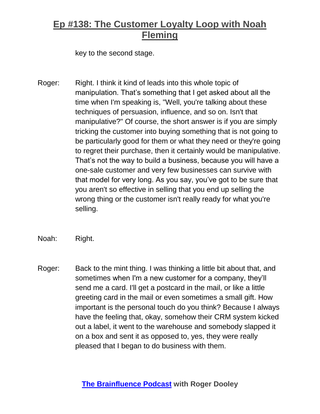key to the second stage.

- Roger: Right. I think it kind of leads into this whole topic of manipulation. That's something that I get asked about all the time when I'm speaking is, "Well, you're talking about these techniques of persuasion, influence, and so on. Isn't that manipulative?" Of course, the short answer is if you are simply tricking the customer into buying something that is not going to be particularly good for them or what they need or they're going to regret their purchase, then it certainly would be manipulative. That's not the way to build a business, because you will have a one-sale customer and very few businesses can survive with that model for very long. As you say, you've got to be sure that you aren't so effective in selling that you end up selling the wrong thing or the customer isn't really ready for what you're selling.
- Noah: Right.
- Roger: Back to the mint thing. I was thinking a little bit about that, and sometimes when I'm a new customer for a company, they'll send me a card. I'll get a postcard in the mail, or like a little greeting card in the mail or even sometimes a small gift. How important is the personal touch do you think? Because I always have the feeling that, okay, somehow their CRM system kicked out a label, it went to the warehouse and somebody slapped it on a box and sent it as opposed to, yes, they were really pleased that I began to do business with them.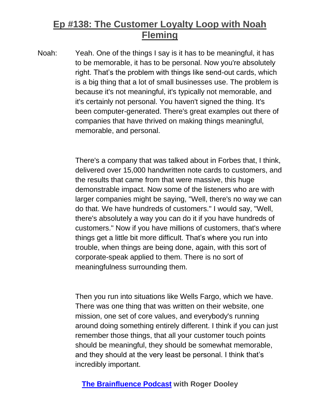Noah: Yeah. One of the things I say is it has to be meaningful, it has to be memorable, it has to be personal. Now you're absolutely right. That's the problem with things like send-out cards, which is a big thing that a lot of small businesses use. The problem is because it's not meaningful, it's typically not memorable, and it's certainly not personal. You haven't signed the thing. It's been computer-generated. There's great examples out there of companies that have thrived on making things meaningful, memorable, and personal.

> There's a company that was talked about in Forbes that, I think, delivered over 15,000 handwritten note cards to customers, and the results that came from that were massive, this huge demonstrable impact. Now some of the listeners who are with larger companies might be saying, "Well, there's no way we can do that. We have hundreds of customers." I would say, "Well, there's absolutely a way you can do it if you have hundreds of customers." Now if you have millions of customers, that's where things get a little bit more difficult. That's where you run into trouble, when things are being done, again, with this sort of corporate-speak applied to them. There is no sort of meaningfulness surrounding them.

Then you run into situations like Wells Fargo, which we have. There was one thing that was written on their website, one mission, one set of core values, and everybody's running around doing something entirely different. I think if you can just remember those things, that all your customer touch points should be meaningful, they should be somewhat memorable, and they should at the very least be personal. I think that's incredibly important.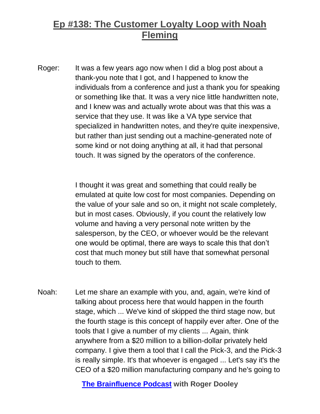Roger: It was a few years ago now when I did a blog post about a thank-you note that I got, and I happened to know the individuals from a conference and just a thank you for speaking or something like that. It was a very nice little handwritten note, and I knew was and actually wrote about was that this was a service that they use. It was like a VA type service that specialized in handwritten notes, and they're quite inexpensive, but rather than just sending out a machine-generated note of some kind or not doing anything at all, it had that personal touch. It was signed by the operators of the conference.

> I thought it was great and something that could really be emulated at quite low cost for most companies. Depending on the value of your sale and so on, it might not scale completely, but in most cases. Obviously, if you count the relatively low volume and having a very personal note written by the salesperson, by the CEO, or whoever would be the relevant one would be optimal, there are ways to scale this that don't cost that much money but still have that somewhat personal touch to them.

Noah: Let me share an example with you, and, again, we're kind of talking about process here that would happen in the fourth stage, which ... We've kind of skipped the third stage now, but the fourth stage is this concept of happily ever after. One of the tools that I give a number of my clients ... Again, think anywhere from a \$20 million to a billion-dollar privately held company. I give them a tool that I call the Pick-3, and the Pick-3 is really simple. It's that whoever is engaged ... Let's say it's the CEO of a \$20 million manufacturing company and he's going to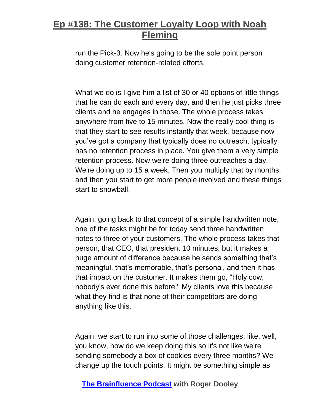run the Pick-3. Now he's going to be the sole point person doing customer retention-related efforts.

What we do is I give him a list of 30 or 40 options of little things that he can do each and every day, and then he just picks three clients and he engages in those. The whole process takes anywhere from five to 15 minutes. Now the really cool thing is that they start to see results instantly that week, because now you've got a company that typically does no outreach, typically has no retention process in place. You give them a very simple retention process. Now we're doing three outreaches a day. We're doing up to 15 a week. Then you multiply that by months, and then you start to get more people involved and these things start to snowball.

Again, going back to that concept of a simple handwritten note, one of the tasks might be for today send three handwritten notes to three of your customers. The whole process takes that person, that CEO, that president 10 minutes, but it makes a huge amount of difference because he sends something that's meaningful, that's memorable, that's personal, and then it has that impact on the customer. It makes them go, "Holy cow, nobody's ever done this before." My clients love this because what they find is that none of their competitors are doing anything like this.

Again, we start to run into some of those challenges, like, well, you know, how do we keep doing this so it's not like we're sending somebody a box of cookies every three months? We change up the touch points. It might be something simple as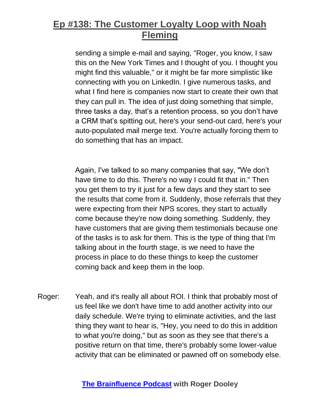sending a simple e-mail and saying, "Roger, you know, I saw this on the New York Times and I thought of you. I thought you might find this valuable," or it might be far more simplistic like connecting with you on LinkedIn. I give numerous tasks, and what I find here is companies now start to create their own that they can pull in. The idea of just doing something that simple, three tasks a day, that's a retention process, so you don't have a CRM that's spitting out, here's your send-out card, here's your auto-populated mail merge text. You're actually forcing them to do something that has an impact.

Again, I've talked to so many companies that say, "We don't have time to do this. There's no way I could fit that in." Then you get them to try it just for a few days and they start to see the results that come from it. Suddenly, those referrals that they were expecting from their NPS scores, they start to actually come because they're now doing something. Suddenly, they have customers that are giving them testimonials because one of the tasks is to ask for them. This is the type of thing that I'm talking about in the fourth stage, is we need to have the process in place to do these things to keep the customer coming back and keep them in the loop.

Roger: Yeah, and it's really all about ROI. I think that probably most of us feel like we don't have time to add another activity into our daily schedule. We're trying to eliminate activities, and the last thing they want to hear is, "Hey, you need to do this in addition to what you're doing," but as soon as they see that there's a positive return on that time, there's probably some lower-value activity that can be eliminated or pawned off on somebody else.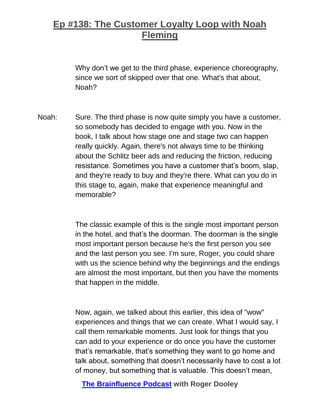Why don't we get to the third phase, experience choreography, since we sort of skipped over that one. What's that about, Noah?

Noah: Sure. The third phase is now quite simply you have a customer, so somebody has decided to engage with you. Now in the book, I talk about how stage one and stage two can happen really quickly. Again, there's not always time to be thinking about the Schlitz beer ads and reducing the friction, reducing resistance. Sometimes you have a customer that's boom, slap, and they're ready to buy and they're there. What can you do in this stage to, again, make that experience meaningful and memorable?

> The classic example of this is the single most important person in the hotel, and that's the doorman. The doorman is the single most important person because he's the first person you see and the last person you see. I'm sure, Roger, you could share with us the science behind why the beginnings and the endings are almost the most important, but then you have the moments that happen in the middle.

> Now, again, we talked about this earlier, this idea of "wow" experiences and things that we can create. What I would say, I call them remarkable moments. Just look for things that you can add to your experience or do once you have the customer that's remarkable, that's something they want to go home and talk about, something that doesn't necessarily have to cost a lot of money, but something that is valuable. This doesn't mean,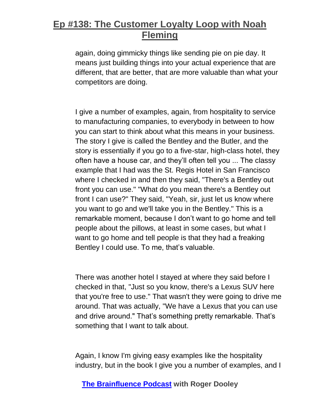again, doing gimmicky things like sending pie on pie day. It means just building things into your actual experience that are different, that are better, that are more valuable than what your competitors are doing.

I give a number of examples, again, from hospitality to service to manufacturing companies, to everybody in between to how you can start to think about what this means in your business. The story I give is called the Bentley and the Butler, and the story is essentially if you go to a five-star, high-class hotel, they often have a house car, and they'll often tell you ... The classy example that I had was the St. Regis Hotel in San Francisco where I checked in and then they said, "There's a Bentley out front you can use." "What do you mean there's a Bentley out front I can use?" They said, "Yeah, sir, just let us know where you want to go and we'll take you in the Bentley." This is a remarkable moment, because I don't want to go home and tell people about the pillows, at least in some cases, but what I want to go home and tell people is that they had a freaking Bentley I could use. To me, that's valuable.

There was another hotel I stayed at where they said before I checked in that, "Just so you know, there's a Lexus SUV here that you're free to use." That wasn't they were going to drive me around. That was actually, "We have a Lexus that you can use and drive around." That's something pretty remarkable. That's something that I want to talk about.

Again, I know I'm giving easy examples like the hospitality industry, but in the book I give you a number of examples, and I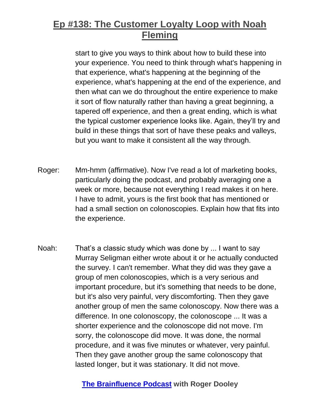start to give you ways to think about how to build these into your experience. You need to think through what's happening in that experience, what's happening at the beginning of the experience, what's happening at the end of the experience, and then what can we do throughout the entire experience to make it sort of flow naturally rather than having a great beginning, a tapered off experience, and then a great ending, which is what the typical customer experience looks like. Again, they'll try and build in these things that sort of have these peaks and valleys, but you want to make it consistent all the way through.

- Roger: Mm-hmm (affirmative). Now I've read a lot of marketing books, particularly doing the podcast, and probably averaging one a week or more, because not everything I read makes it on here. I have to admit, yours is the first book that has mentioned or had a small section on colonoscopies. Explain how that fits into the experience.
- Noah: That's a classic study which was done by ... I want to say Murray Seligman either wrote about it or he actually conducted the survey. I can't remember. What they did was they gave a group of men colonoscopies, which is a very serious and important procedure, but it's something that needs to be done, but it's also very painful, very discomforting. Then they gave another group of men the same colonoscopy. Now there was a difference. In one colonoscopy, the colonoscope ... It was a shorter experience and the colonoscope did not move. I'm sorry, the colonoscope did move. It was done, the normal procedure, and it was five minutes or whatever, very painful. Then they gave another group the same colonoscopy that lasted longer, but it was stationary. It did not move.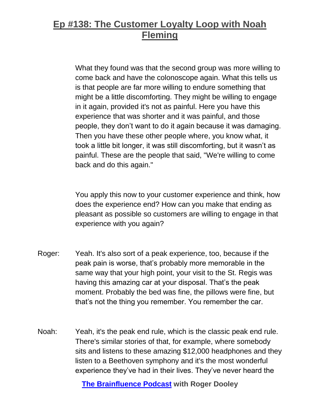What they found was that the second group was more willing to come back and have the colonoscope again. What this tells us is that people are far more willing to endure something that might be a little discomforting. They might be willing to engage in it again, provided it's not as painful. Here you have this experience that was shorter and it was painful, and those people, they don't want to do it again because it was damaging. Then you have these other people where, you know what, it took a little bit longer, it was still discomforting, but it wasn't as painful. These are the people that said, "We're willing to come back and do this again."

You apply this now to your customer experience and think, how does the experience end? How can you make that ending as pleasant as possible so customers are willing to engage in that experience with you again?

- Roger: Yeah. It's also sort of a peak experience, too, because if the peak pain is worse, that's probably more memorable in the same way that your high point, your visit to the St. Regis was having this amazing car at your disposal. That's the peak moment. Probably the bed was fine, the pillows were fine, but that's not the thing you remember. You remember the car.
- Noah: Yeah, it's the peak end rule, which is the classic peak end rule. There's similar stories of that, for example, where somebody sits and listens to these amazing \$12,000 headphones and they listen to a Beethoven symphony and it's the most wonderful experience they've had in their lives. They've never heard the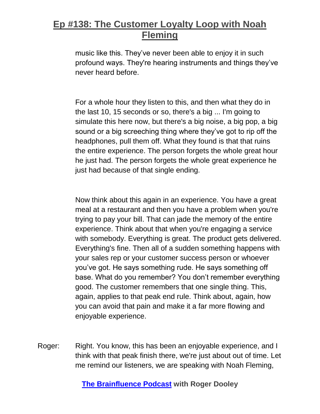music like this. They've never been able to enjoy it in such profound ways. They're hearing instruments and things they've never heard before.

For a whole hour they listen to this, and then what they do in the last 10, 15 seconds or so, there's a big ... I'm going to simulate this here now, but there's a big noise, a big pop, a big sound or a big screeching thing where they've got to rip off the headphones, pull them off. What they found is that that ruins the entire experience. The person forgets the whole great hour he just had. The person forgets the whole great experience he just had because of that single ending.

Now think about this again in an experience. You have a great meal at a restaurant and then you have a problem when you're trying to pay your bill. That can jade the memory of the entire experience. Think about that when you're engaging a service with somebody. Everything is great. The product gets delivered. Everything's fine. Then all of a sudden something happens with your sales rep or your customer success person or whoever you've got. He says something rude. He says something off base. What do you remember? You don't remember everything good. The customer remembers that one single thing. This, again, applies to that peak end rule. Think about, again, how you can avoid that pain and make it a far more flowing and enjoyable experience.

Roger: Right. You know, this has been an enjoyable experience, and I think with that peak finish there, we're just about out of time. Let me remind our listeners, we are speaking with Noah Fleming,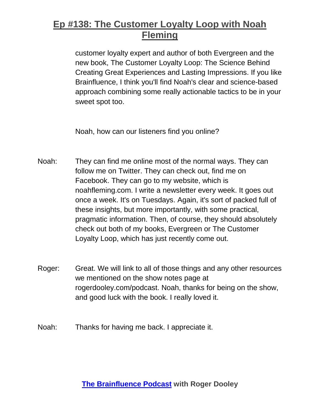customer loyalty expert and author of both Evergreen and the new book, The Customer Loyalty Loop: The Science Behind Creating Great Experiences and Lasting Impressions. If you like Brainfluence, I think you'll find Noah's clear and science-based approach combining some really actionable tactics to be in your sweet spot too.

Noah, how can our listeners find you online?

- Noah: They can find me online most of the normal ways. They can follow me on Twitter. They can check out, find me on Facebook. They can go to my website, which is noahfleming.com. I write a newsletter every week. It goes out once a week. It's on Tuesdays. Again, it's sort of packed full of these insights, but more importantly, with some practical, pragmatic information. Then, of course, they should absolutely check out both of my books, Evergreen or The Customer Loyalty Loop, which has just recently come out.
- Roger: Great. We will link to all of those things and any other resources we mentioned on the show notes page at rogerdooley.com/podcast. Noah, thanks for being on the show, and good luck with the book. I really loved it.

Noah: Thanks for having me back. I appreciate it.